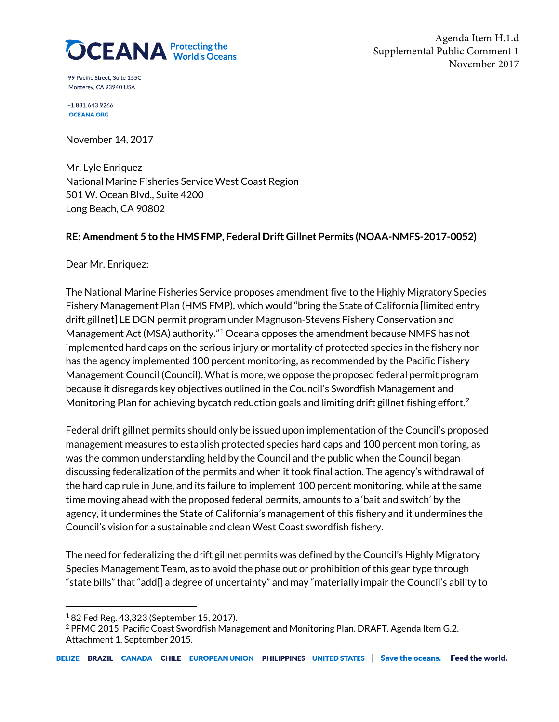

99 Pacific Street. Suite 155C Monterey, CA 93940 USA

+1.831.643.9266 **OCEANA.ORG** 

November 14, 2017

Mr. Lyle Enriquez National Marine Fisheries Service West Coast Region 501 W. Ocean Blvd., Suite 4200 Long Beach, CA 90802

# **RE: Amendment 5 to the HMS FMP, Federal Drift Gillnet Permits (NOAA-NMFS-2017-0052)**

Dear Mr. Enriquez:

The National Marine Fisheries Service proposes amendment five to the Highly Migratory Species Fishery Management Plan (HMS FMP), which would "bring the State of California [limited entry drift gillnet] LE DGN permit program under Magnuson-Stevens Fishery Conservation and Management Act (MSA) authority."[1](#page-0-0) Oceana opposes the amendment because NMFS has not implemented hard caps on the serious injury or mortality of protected species in the fishery nor has the agency implemented 100 percent monitoring, as recommended by the Pacific Fishery Management Council (Council). What is more, we oppose the proposed federal permit program because it disregards key objectives outlined in the Council's Swordfish Management and Monitoring Plan for achieving bycatch reduction goals and limiting drift gillnet fishing effort.<sup>[2](#page-0-1)</sup>

Federal drift gillnet permits should only be issued upon implementation of the Council's proposed management measures to establish protected species hard caps and 100 percent monitoring, as was the common understanding held by the Council and the public when the Council began discussing federalization of the permits and when it took final action. The agency's withdrawal of the hard cap rule in June, and its failure to implement 100 percent monitoring, while at the same time moving ahead with the proposed federal permits, amounts to a 'bait and switch' by the agency, it undermines the State of California's management of this fishery and it undermines the Council's vision for a sustainable and clean West Coast swordfish fishery.

The need for federalizing the drift gillnet permits was defined by the Council's Highly Migratory Species Management Team, as to avoid the phase out or prohibition of this gear type through "state bills" that "add[] a degree of uncertainty" and may "materially impair the Council's ability to

<span id="page-0-0"></span><sup>1</sup> 82 Fed Reg. 43,323 (September 15, 2017).

<span id="page-0-1"></span><sup>2</sup> PFMC 2015. Pacific Coast Swordfish Management and Monitoring Plan. DRAFT. Agenda Item G.2. Attachment 1. September 2015.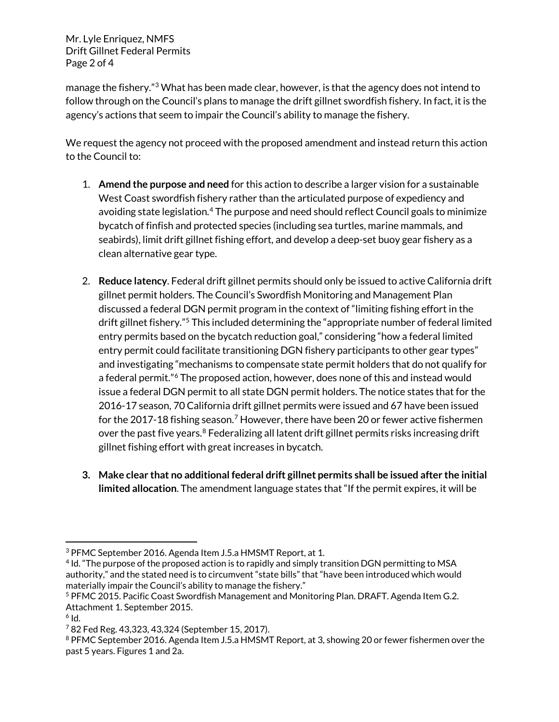Mr. Lyle Enriquez, NMFS Drift Gillnet Federal Permits Page 2 of 4

manage the fishery."[3](#page-1-0) What has been made clear, however, is that the agency does not intend to follow through on the Council's plans to manage the drift gillnet swordfish fishery. In fact, it is the agency's actions that seem to impair the Council's ability to manage the fishery.

We request the agency not proceed with the proposed amendment and instead return this action to the Council to:

- 1. **Amend the purpose and need** for this action to describe a larger vision for a sustainable West Coast swordfish fishery rather than the articulated purpose of expediency and avoiding state legislation.<sup>[4](#page-1-1)</sup> The purpose and need should reflect Council goals to minimize bycatch of finfish and protected species (including sea turtles, marine mammals, and seabirds), limit drift gillnet fishing effort, and develop a deep-set buoy gear fishery as a clean alternative gear type.
- 2. **Reduce latency**. Federal drift gillnet permits should only be issued to active California drift gillnet permit holders. The Council's Swordfish Monitoring and Management Plan discussed a federal DGN permit program in the context of "limiting fishing effort in the drift gillnet fishery."[5](#page-1-2) This included determining the "appropriate number of federal limited entry permits based on the bycatch reduction goal," considering "how a federal limited entry permit could facilitate transitioning DGN fishery participants to other gear types" and investigating "mechanisms to compensate state permit holders that do not qualify for a federal permit."<sup>[6](#page-1-3)</sup> The proposed action, however, does none of this and instead would issue a federal DGN permit to all state DGN permit holders. The notice states that for the 2016-17 season, 70 California drift gillnet permits were issued and 67 have been issued for the 201[7](#page-1-4)-18 fishing season.<sup>7</sup> However, there have been 20 or fewer active fishermen over the past five years.<sup>[8](#page-1-5)</sup> Federalizing all latent drift gillnet permits risks increasing drift gillnet fishing effort with great increases in bycatch.
- **3. Make clear that no additional federal drift gillnet permits shall be issued after the initial limited allocation**. The amendment language states that "If the permit expires, it will be

 $\overline{\phantom{a}}$ 

<span id="page-1-0"></span><sup>3</sup> PFMC September 2016. Agenda Item J.5.a HMSMT Report, at 1.

<span id="page-1-1"></span><sup>4</sup> Id. "The purpose of the proposed action is to rapidly and simply transition DGN permitting to MSA authority," and the stated need is to circumvent "state bills" that "have been introduced which would materially impair the Council's ability to manage the fishery."

<span id="page-1-2"></span><sup>5</sup> PFMC 2015. Pacific Coast Swordfish Management and Monitoring Plan. DRAFT. Agenda Item G.2. Attachment 1. September 2015.

<span id="page-1-3"></span> $6$  Id.

<span id="page-1-4"></span><sup>7</sup> 82 Fed Reg. 43,323, 43,324 (September 15, 2017).

<span id="page-1-5"></span><sup>&</sup>lt;sup>8</sup> PFMC September 2016. Agenda Item J.5.a HMSMT Report, at 3, showing 20 or fewer fishermen over the past 5 years. Figures 1 and 2a.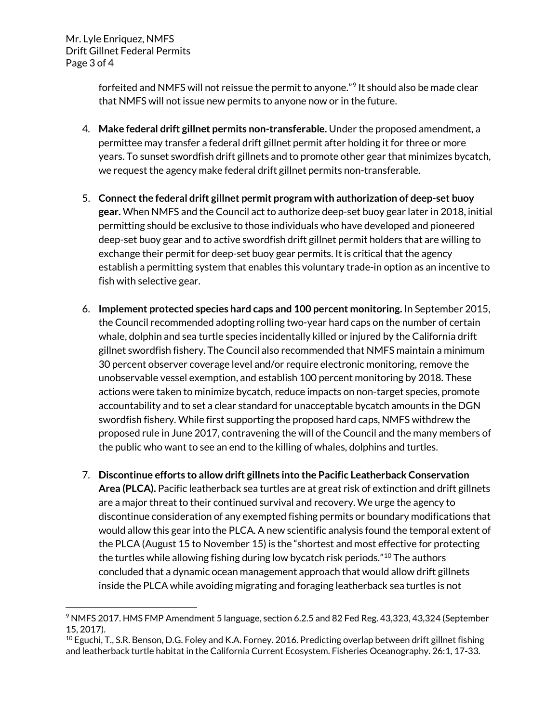$\overline{\phantom{a}}$ 

forfeited and NMFS will not reissue the permit to anyone."<sup>[9](#page-2-0)</sup> It should also be made clear that NMFS will not issue new permits to anyone now or in the future.

- 4. **Make federal drift gillnet permits non-transferable.** Under the proposed amendment, a permittee may transfer a federal drift gillnet permit after holding it for three or more years. To sunset swordfish drift gillnets and to promote other gear that minimizes bycatch, we request the agency make federal drift gillnet permits non-transferable.
- 5. **Connect the federal drift gillnet permit program with authorization of deep-set buoy gear.** When NMFS and the Council act to authorize deep-set buoy gear later in 2018, initial permitting should be exclusive to those individuals who have developed and pioneered deep-set buoy gear and to active swordfish drift gillnet permit holders that are willing to exchange their permit for deep-set buoy gear permits. It is critical that the agency establish a permitting system that enables this voluntary trade-in option as an incentive to fish with selective gear.
- 6. **Implement protected species hard caps and 100 percent monitoring.** In September 2015, the Council recommended adopting rolling two-year hard caps on the number of certain whale, dolphin and sea turtle species incidentally killed or injured by the California drift gillnet swordfish fishery. The Council also recommended that NMFS maintain a minimum 30 percent observer coverage level and/or require electronic monitoring, remove the unobservable vessel exemption, and establish 100 percent monitoring by 2018. These actions were taken to minimize bycatch, reduce impacts on non-target species, promote accountability and to set a clear standard for unacceptable bycatch amounts in the DGN swordfish fishery. While first supporting the proposed hard caps, NMFS withdrew the proposed rule in June 2017, contravening the will of the Council and the many members of the public who want to see an end to the killing of whales, dolphins and turtles.
- 7. **Discontinue efforts to allow drift gillnets into the Pacific Leatherback Conservation Area (PLCA).** Pacific leatherback sea turtles are at great risk of extinction and drift gillnets are a major threat to their continued survival and recovery. We urge the agency to discontinue consideration of any exempted fishing permits or boundary modifications that would allow this gear into the PLCA. A new scientific analysis found the temporal extent of the PLCA (August 15 to November 15) is the "shortest and most effective for protecting the turtles while allowing fishing during low bycatch risk periods."<sup>[10](#page-2-1)</sup> The authors concluded that a dynamic ocean management approach that would allow drift gillnets inside the PLCA while avoiding migrating and foraging leatherback sea turtles is not

<span id="page-2-0"></span><sup>9</sup> NMFS 2017. HMS FMP Amendment 5 language, section 6.2.5 and 82 Fed Reg. 43,323, 43,324 (September 15, 2017).

<span id="page-2-1"></span> $^{10}$  Eguchi, T., S.R. Benson, D.G. Foley and K.A. Forney. 2016. Predicting overlap between drift gillnet fishing and leatherback turtle habitat in the California Current Ecosystem. Fisheries Oceanography. 26:1, 17-33.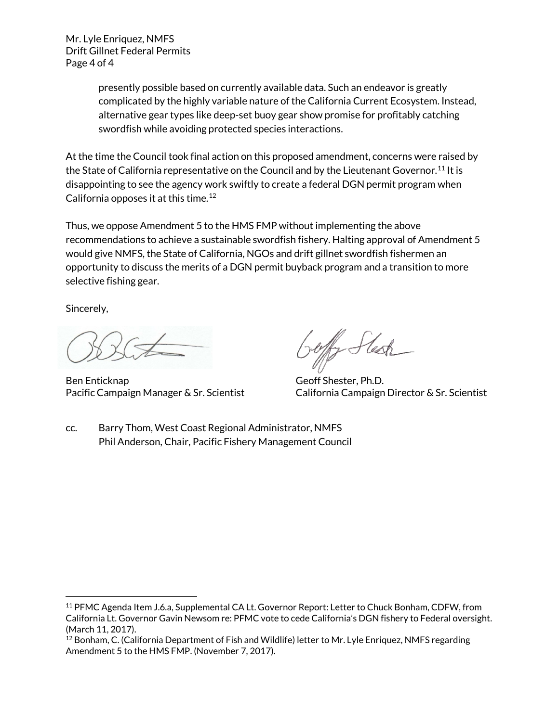Mr. Lyle Enriquez, NMFS Drift Gillnet Federal Permits Page 4 of 4

> presently possible based on currently available data. Such an endeavor is greatly complicated by the highly variable nature of the California Current Ecosystem. Instead, alternative gear types like deep-set buoy gear show promise for profitably catching swordfish while avoiding protected species interactions.

At the time the Council took final action on this proposed amendment, concerns were raised by the State of California representative on the Council and by the Lieutenant Governor.<sup>[11](#page-3-0)</sup> It is disappointing to see the agency work swiftly to create a federal DGN permit program when California opposes it at this time.<sup>[12](#page-3-1)</sup>

Thus, we oppose Amendment 5 to the HMS FMP without implementing the above recommendations to achieve a sustainable swordfish fishery. Halting approval of Amendment 5 would give NMFS, the State of California, NGOs and drift gillnet swordfish fishermen an opportunity to discuss the merits of a DGN permit buyback program and a transition to more selective fishing gear.

Sincerely,

 $\overline{\phantom{a}}$ 

Ben Enticknap Geoff Shester, Ph.D.

Pacific Campaign Manager & Sr. Scientist California Campaign Director & Sr. Scientist

cc. Barry Thom, West Coast Regional Administrator, NMFS Phil Anderson, Chair, Pacific Fishery Management Council

<span id="page-3-0"></span><sup>11</sup> PFMC Agenda Item J.6.a, Supplemental CA Lt. Governor Report: Letter to Chuck Bonham, CDFW, from California Lt. Governor Gavin Newsom re: PFMC vote to cede California's DGN fishery to Federal oversight. (March 11, 2017).

<span id="page-3-1"></span><sup>&</sup>lt;sup>12</sup> Bonham, C. (California Department of Fish and Wildlife) letter to Mr. Lyle Enriquez, NMFS regarding Amendment 5 to the HMS FMP. (November 7, 2017).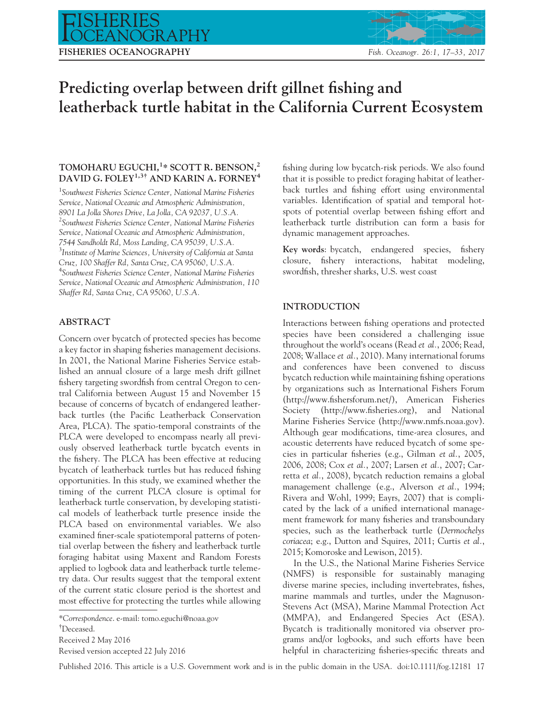# FISHERIES OCEANOGRAPHY Fish. Oceanogr. 26:1, 17-33, 2017

# Predicting overlap between drift gillnet fishing and leatherback turtle habitat in the California Current Ecosystem

# TOMOHARU EGUCHI,<sup>1</sup>\* SCOTT R. BENSON,<sup>2</sup> DAVID G. FOLEY<sup>1,3†</sup> AND KARIN A. FORNEY<sup>4</sup>

<sup>1</sup>Southwest Fisheries Science Center, National Marine Fisheries Service, National Oceanic and Atmospheric Administration, 8901 La Jolla Shores Drive, La Jolla, CA 92037, U.S.A. <sup>2</sup>Southwest Fisheries Science Center, National Marine Fisheries Service, National Oceanic and Atmospheric Administration, 7544 Sandholdt Rd, Moss Landing, CA 95039, U.S.A. <sup>3</sup> Institute of Marine Sciences, University of California at Santa Cruz, 100 Shaffer Rd, Santa Cruz, CA 95060, U.S.A. 4 Southwest Fisheries Science Center, National Marine Fisheries Service, National Oceanic and Atmospheric Administration, 110 Shaffer Rd, Santa Cruz, CA 95060, U.S.A.

# ABSTRACT

Concern over bycatch of protected species has become a key factor in shaping fisheries management decisions. In 2001, the National Marine Fisheries Service established an annual closure of a large mesh drift gillnet fishery targeting swordfish from central Oregon to central California between August 15 and November 15 because of concerns of bycatch of endangered leatherback turtles (the Pacific Leatherback Conservation Area, PLCA). The spatio-temporal constraints of the PLCA were developed to encompass nearly all previously observed leatherback turtle bycatch events in the fishery. The PLCA has been effective at reducing bycatch of leatherback turtles but has reduced fishing opportunities. In this study, we examined whether the timing of the current PLCA closure is optimal for leatherback turtle conservation, by developing statistical models of leatherback turtle presence inside the PLCA based on environmental variables. We also examined finer-scale spatiotemporal patterns of potential overlap between the fishery and leatherback turtle foraging habitat using Maxent and Random Forests applied to logbook data and leatherback turtle telemetry data. Our results suggest that the temporal extent of the current static closure period is the shortest and most effective for protecting the turtles while allowing

fishing during low bycatch-risk periods. We also found that it is possible to predict foraging habitat of leatherback turtles and fishing effort using environmental variables. Identification of spatial and temporal hotspots of potential overlap between fishing effort and leatherback turtle distribution can form a basis for dynamic management approaches.

Key words: bycatch, endangered species, fishery closure, fishery interactions, habitat modeling, swordfish, thresher sharks, U.S. west coast

# INTRODUCTION

Interactions between fishing operations and protected species have been considered a challenging issue throughout the world's oceans (Read et al., 2006; Read, 2008; Wallace et al., 2010). Many international forums and conferences have been convened to discuss bycatch reduction while maintaining fishing operations by organizations such as International Fishers Forum ([http://www.fishersforum.net/\)](http://www.fishersforum.net/), American Fisheries Society [\(http://www.fisheries.org](http://www.fisheries.org)), and National Marine Fisheries Service [\(http://www.nmfs.noaa.gov](http://www.nmfs.noaa.gov)). Although gear modifications, time-area closures, and acoustic deterrents have reduced bycatch of some species in particular fisheries (e.g., Gilman et al., 2005, 2006, 2008; Cox et al., 2007; Larsen et al., 2007; Carretta et al., 2008), bycatch reduction remains a global management challenge (e.g., Alverson et al., 1994; Rivera and Wohl, 1999; Eayrs, 2007) that is complicated by the lack of a unified international management framework for many fisheries and transboundary species, such as the leatherback turtle (Dermochelys coriacea; e.g., Dutton and Squires, 2011; Curtis et al., 2015; Komoroske and Lewison, 2015).

In the U.S., the National Marine Fisheries Service (NMFS) is responsible for sustainably managing diverse marine species, including invertebrates, fishes, marine mammals and turtles, under the Magnuson-Stevens Act (MSA), Marine Mammal Protection Act (MMPA), and Endangered Species Act (ESA). Bycatch is traditionally monitored via observer programs and/or logbooks, and such efforts have been helpful in characterizing fisheries-specific threats and

Published 2016. This article is a U.S. Government work and is in the public domain in the USA. doi:10.1111/fog.12181 17

<sup>\*</sup>Correspondence. e-mail: tomo.eguchi@noaa.gov

<sup>†</sup> Deceased.

Received 2 May 2016

Revised version accepted 22 July 2016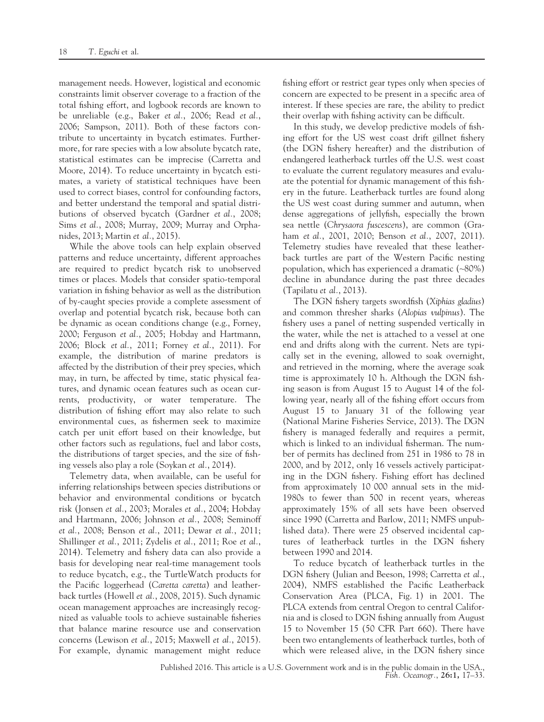management needs. However, logistical and economic constraints limit observer coverage to a fraction of the total fishing effort, and logbook records are known to be unreliable (e.g., Baker et al., 2006; Read et al., 2006; Sampson, 2011). Both of these factors contribute to uncertainty in bycatch estimates. Furthermore, for rare species with a low absolute bycatch rate, statistical estimates can be imprecise (Carretta and Moore, 2014). To reduce uncertainty in bycatch estimates, a variety of statistical techniques have been used to correct biases, control for confounding factors, and better understand the temporal and spatial distributions of observed bycatch (Gardner et al., 2008; Sims et al., 2008; Murray, 2009; Murray and Orphanides, 2013; Martin et al., 2015).

While the above tools can help explain observed patterns and reduce uncertainty, different approaches are required to predict bycatch risk to unobserved times or places. Models that consider spatio-temporal variation in fishing behavior as well as the distribution of by-caught species provide a complete assessment of overlap and potential bycatch risk, because both can be dynamic as ocean conditions change (e.g., Forney, 2000; Ferguson et al., 2005; Hobday and Hartmann, 2006; Block et al., 2011; Forney et al., 2011). For example, the distribution of marine predators is affected by the distribution of their prey species, which may, in turn, be affected by time, static physical features, and dynamic ocean features such as ocean currents, productivity, or water temperature. The distribution of fishing effort may also relate to such environmental cues, as fishermen seek to maximize catch per unit effort based on their knowledge, but other factors such as regulations, fuel and labor costs, the distributions of target species, and the size of fishing vessels also play a role (Soykan et al., 2014).

Telemetry data, when available, can be useful for inferring relationships between species distributions or behavior and environmental conditions or bycatch risk (Jonsen et al., 2003; Morales et al., 2004; Hobday and Hartmann, 2006; Johnson et al., 2008; Seminoff et al., 2008; Benson et al., 2011; Dewar et al., 2011; Shillinger et al., 2011; Zydelis et al., 2011; Roe et al., 2014). Telemetry and fishery data can also provide a basis for developing near real-time management tools to reduce bycatch, e.g., the TurtleWatch products for the Pacific loggerhead (Caretta caretta) and leatherback turtles (Howell et al., 2008, 2015). Such dynamic ocean management approaches are increasingly recognized as valuable tools to achieve sustainable fisheries that balance marine resource use and conservation concerns (Lewison et al., 2015; Maxwell et al., 2015). For example, dynamic management might reduce fishing effort or restrict gear types only when species of concern are expected to be present in a specific area of interest. If these species are rare, the ability to predict their overlap with fishing activity can be difficult.

In this study, we develop predictive models of fishing effort for the US west coast drift gillnet fishery (the DGN fishery hereafter) and the distribution of endangered leatherback turtles off the U.S. west coast to evaluate the current regulatory measures and evaluate the potential for dynamic management of this fishery in the future. Leatherback turtles are found along the US west coast during summer and autumn, when dense aggregations of jellyfish, especially the brown sea nettle (Chrysaora fuscescens), are common (Graham et al., 2001, 2010; Benson et al., 2007, 2011). Telemetry studies have revealed that these leatherback turtles are part of the Western Pacific nesting population, which has experienced a dramatic (~80%) decline in abundance during the past three decades (Tapilatu et al., 2013).

The DGN fishery targets swordfish (Xiphias gladius) and common thresher sharks (Alopias vulpinus). The fishery uses a panel of netting suspended vertically in the water, while the net is attached to a vessel at one end and drifts along with the current. Nets are typically set in the evening, allowed to soak overnight, and retrieved in the morning, where the average soak time is approximately 10 h. Although the DGN fishing season is from August 15 to August 14 of the following year, nearly all of the fishing effort occurs from August 15 to January 31 of the following year (National Marine Fisheries Service, 2013). The DGN fishery is managed federally and requires a permit, which is linked to an individual fisherman. The number of permits has declined from 251 in 1986 to 78 in 2000, and by 2012, only 16 vessels actively participating in the DGN fishery. Fishing effort has declined from approximately 10 000 annual sets in the mid-1980s to fewer than 500 in recent years, whereas approximately 15% of all sets have been observed since 1990 (Carretta and Barlow, 2011; NMFS unpublished data). There were 25 observed incidental captures of leatherback turtles in the DGN fishery between 1990 and 2014.

To reduce bycatch of leatherback turtles in the DGN fishery (Julian and Beeson, 1998; Carretta et al., 2004), NMFS established the Pacific Leatherback Conservation Area (PLCA, Fig. 1) in 2001. The PLCA extends from central Oregon to central California and is closed to DGN fishing annually from August 15 to November 15 (50 CFR Part 660). There have been two entanglements of leatherback turtles, both of which were released alive, in the DGN fishery since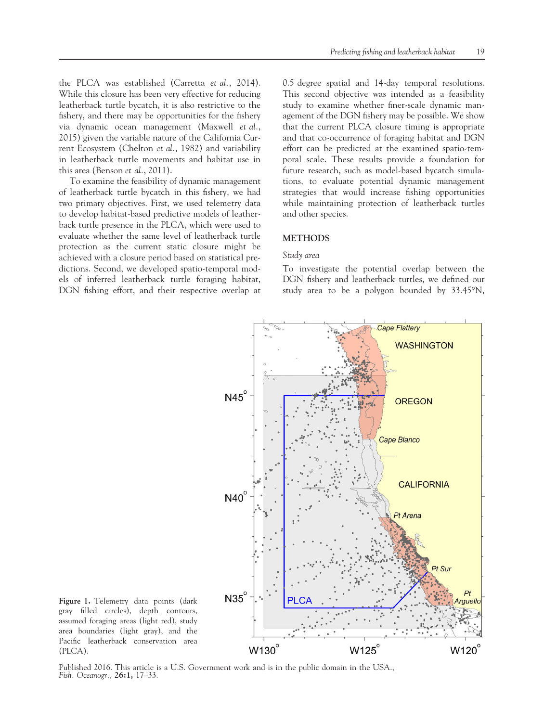the PLCA was established (Carretta et al., 2014). While this closure has been very effective for reducing leatherback turtle bycatch, it is also restrictive to the fishery, and there may be opportunities for the fishery via dynamic ocean management (Maxwell et al., 2015) given the variable nature of the California Current Ecosystem (Chelton et al., 1982) and variability in leatherback turtle movements and habitat use in this area (Benson et al., 2011).

To examine the feasibility of dynamic management of leatherback turtle bycatch in this fishery, we had two primary objectives. First, we used telemetry data to develop habitat-based predictive models of leatherback turtle presence in the PLCA, which were used to evaluate whether the same level of leatherback turtle protection as the current static closure might be achieved with a closure period based on statistical predictions. Second, we developed spatio-temporal models of inferred leatherback turtle foraging habitat, DGN fishing effort, and their respective overlap at 0.5 degree spatial and 14-day temporal resolutions. This second objective was intended as a feasibility study to examine whether finer-scale dynamic management of the DGN fishery may be possible. We show that the current PLCA closure timing is appropriate and that co-occurrence of foraging habitat and DGN effort can be predicted at the examined spatio-temporal scale. These results provide a foundation for future research, such as model-based bycatch simulations, to evaluate potential dynamic management strategies that would increase fishing opportunities while maintaining protection of leatherback turtles and other species.

### **METHODS**

#### Study area

To investigate the potential overlap between the DGN fishery and leatherback turtles, we defined our study area to be a polygon bounded by 33.45°N,



Figure 1. Telemetry data points (dark gray filled circles), depth contours, assumed foraging areas (light red), study area boundaries (light gray), and the Pacific leatherback conservation area (PLCA).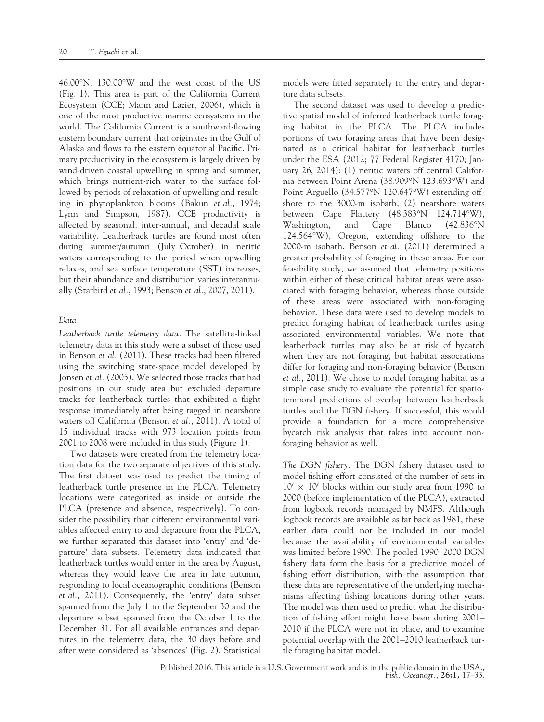46.00°N, 130.00°W and the west coast of the US (Fig. 1). This area is part of the California Current Ecosystem (CCE; Mann and Lazier, 2006), which is one of the most productive marine ecosystems in the world. The California Current is a southward-flowing eastern boundary current that originates in the Gulf of Alaska and flows to the eastern equatorial Pacific. Primary productivity in the ecosystem is largely driven by wind-driven coastal upwelling in spring and summer, which brings nutrient-rich water to the surface followed by periods of relaxation of upwelling and resulting in phytoplankton blooms (Bakun et al., 1974; Lynn and Simpson, 1987). CCE productivity is affected by seasonal, inter-annual, and decadal scale variability. Leatherback turtles are found most often during summer/autumn (July–October) in neritic waters corresponding to the period when upwelling relaxes, and sea surface temperature (SST) increases, but their abundance and distribution varies interannually (Starbird et al., 1993; Benson et al., 2007, 2011).

#### Data

Leatherback turtle telemetry data. The satellite-linked telemetry data in this study were a subset of those used in Benson et al. (2011). These tracks had been filtered using the switching state-space model developed by Jonsen et al. (2005). We selected those tracks that had positions in our study area but excluded departure tracks for leatherback turtles that exhibited a flight response immediately after being tagged in nearshore waters off California (Benson et al., 2011). A total of 15 individual tracks with 973 location points from 2001 to 2008 were included in this study (Figure 1).

Two datasets were created from the telemetry location data for the two separate objectives of this study. The first dataset was used to predict the timing of leatherback turtle presence in the PLCA. Telemetry locations were categorized as inside or outside the PLCA (presence and absence, respectively). To consider the possibility that different environmental variables affected entry to and departure from the PLCA, we further separated this dataset into 'entry' and 'departure' data subsets. Telemetry data indicated that leatherback turtles would enter in the area by August, whereas they would leave the area in late autumn, responding to local oceanographic conditions (Benson et al., 2011). Consequently, the 'entry' data subset spanned from the July 1 to the September 30 and the departure subset spanned from the October 1 to the December 31. For all available entrances and departures in the telemetry data, the 30 days before and after were considered as 'absences' (Fig. 2). Statistical models were fitted separately to the entry and departure data subsets.

The second dataset was used to develop a predictive spatial model of inferred leatherback turtle foraging habitat in the PLCA. The PLCA includes portions of two foraging areas that have been designated as a critical habitat for leatherback turtles under the ESA (2012; 77 Federal Register 4170; January 26, 2014): (1) neritic waters off central California between Point Arena (38.909°N 123.693°W) and Point Arguello (34.577°N 120.647°W) extending offshore to the 3000-m isobath, (2) nearshore waters between Cape Flattery (48.383°N 124.714°W), Washington, and Cape Blanco (42.836°N 124.564°W), Oregon, extending offshore to the 2000-m isobath. Benson et al. (2011) determined a greater probability of foraging in these areas. For our feasibility study, we assumed that telemetry positions within either of these critical habitat areas were associated with foraging behavior, whereas those outside of these areas were associated with non-foraging behavior. These data were used to develop models to predict foraging habitat of leatherback turtles using associated environmental variables. We note that leatherback turtles may also be at risk of bycatch when they are not foraging, but habitat associations differ for foraging and non-foraging behavior (Benson et al., 2011). We chose to model foraging habitat as a simple case study to evaluate the potential for spatiotemporal predictions of overlap between leatherback turtles and the DGN fishery. If successful, this would provide a foundation for a more comprehensive bycatch risk analysis that takes into account nonforaging behavior as well.

The DGN fishery. The DGN fishery dataset used to model fishing effort consisted of the number of sets in  $10' \times 10'$  blocks within our study area from 1990 to 2000 (before implementation of the PLCA), extracted from logbook records managed by NMFS. Although logbook records are available as far back as 1981, these earlier data could not be included in our model because the availability of environmental variables was limited before 1990. The pooled 1990–2000 DGN fishery data form the basis for a predictive model of fishing effort distribution, with the assumption that these data are representative of the underlying mechanisms affecting fishing locations during other years. The model was then used to predict what the distribution of fishing effort might have been during 2001– 2010 if the PLCA were not in place, and to examine potential overlap with the 2001–2010 leatherback turtle foraging habitat model.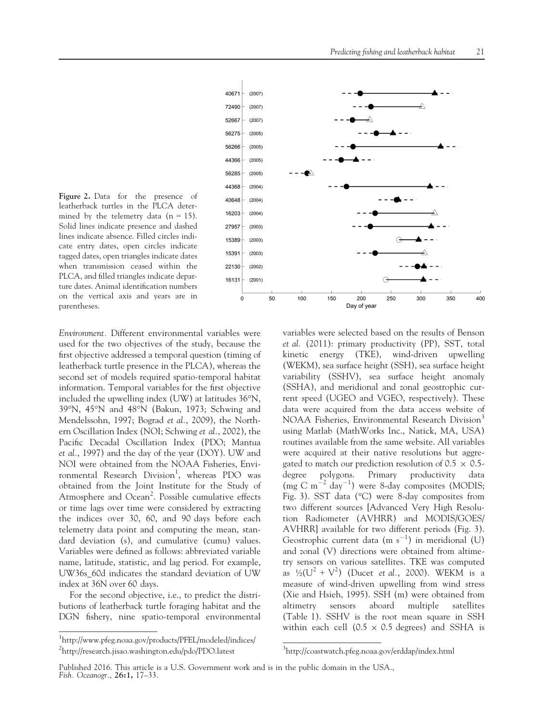

Environment. Different environmental variables were used for the two objectives of the study, because the first objective addressed a temporal question (timing of leatherback turtle presence in the PLCA), whereas the second set of models required spatio-temporal habitat information. Temporal variables for the first objective included the upwelling index (UW) at latitudes 36°N, 39°N, 45°N and 48°N (Bakun, 1973; Schwing and Mendelssohn, 1997; Bograd et al., 2009), the Northern Oscillation Index (NOI; Schwing et al., 2002), the Pacific Decadal Oscillation Index (PDO; Mantua et al., 1997) and the day of the year (DOY). UW and NOI were obtained from the NOAA Fisheries, Environmental Research Division<sup>1</sup>, whereas PDO was obtained from the Joint Institute for the Study of Atmosphere and Ocean<sup>2</sup>. Possible cumulative effects or time lags over time were considered by extracting the indices over 30, 60, and 90 days before each telemetry data point and computing the mean, standard deviation (s), and cumulative (cumu) values. Variables were defined as follows: abbreviated variable name, latitude, statistic, and lag period. For example, UW36s\_60d indicates the standard deviation of UW index at 36N over 60 days.

For the second objective, i.e., to predict the distributions of leatherback turtle foraging habitat and the DGN fishery, nine spatio-temporal environmental



variables were selected based on the results of Benson et al. (2011): primary productivity (PP), SST, total kinetic energy (TKE), wind-driven upwelling (WEKM), sea surface height (SSH), sea surface height variability (SSHV), sea surface height anomaly (SSHA), and meridional and zonal geostrophic current speed (UGEO and VGEO, respectively). These data were acquired from the data access website of NOAA Fisheries, Environmental Research Division<sup>3</sup> using Matlab (MathWorks Inc., Natick, MA, USA) routines available from the same website. All variables were acquired at their native resolutions but aggregated to match our prediction resolution of  $0.5 \times 0.5$ degree polygons. Primary productivity data  $\text{(mg C m}^{-2} \text{day}^{-1})$  were 8-day composites (MODIS; Fig. 3). SST data (°C) were 8-day composites from two different sources [Advanced Very High Resolution Radiometer (AVHRR) and MODIS/GOES/ AVHRR] available for two different periods (Fig. 3). Geostrophic current data  $(m s^{-1})$  in meridional (U) and zonal (V) directions were obtained from altimetry sensors on various satellites. TKE was computed as  $\frac{1}{2}(U^2 + V^2)$  (Ducet *et al.*, 2000). WEKM is a measure of wind-driven upwelling from wind stress (Xie and Hsieh, 1995). SSH (m) were obtained from altimetry sensors aboard multiple satellites (Table 1). SSHV is the root mean square in SSH within each cell (0.5  $\times$  0.5 degrees) and SSHA is

<sup>1</sup> <http://www.pfeg.noaa.gov/products/PFEL/modeled/indices/> <sup>2</sup><http://research.jisao.washington.edu/pdo/PDO.latest> <sup>3</sup>

<http://coastwatch.pfeg.noaa.gov/erddap/index.html>

Published 2016. This article is a U.S. Government work and is in the public domain in the USA., Fish. Oceanogr., 26:1, 17–33.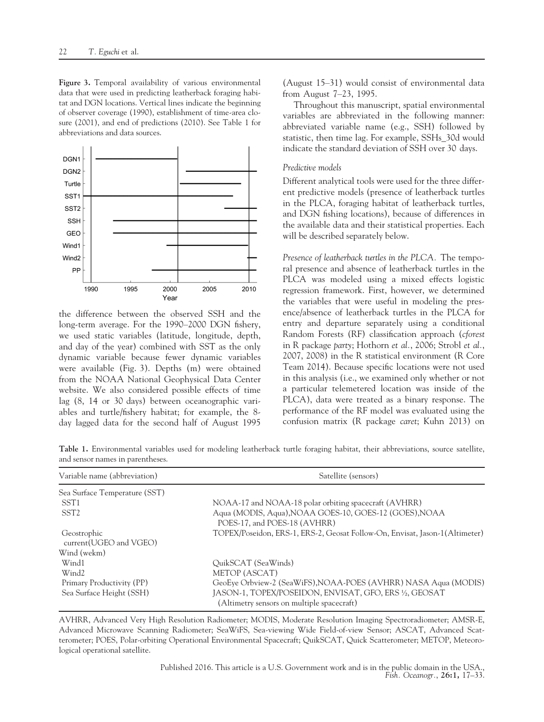Figure 3. Temporal availability of various environmental data that were used in predicting leatherback foraging habitat and DGN locations. Vertical lines indicate the beginning of observer coverage (1990), establishment of time-area closure (2001), and end of predictions (2010). See Table 1 for abbreviations and data sources.



the difference between the observed SSH and the long-term average. For the 1990–2000 DGN fishery, we used static variables (latitude, longitude, depth, and day of the year) combined with SST as the only dynamic variable because fewer dynamic variables were available (Fig. 3). Depths (m) were obtained from the NOAA National Geophysical Data Center website. We also considered possible effects of time lag (8, 14 or 30 days) between oceanographic variables and turtle/fishery habitat; for example, the 8 day lagged data for the second half of August 1995

(August 15–31) would consist of environmental data from August 7–23, 1995.

Throughout this manuscript, spatial environmental variables are abbreviated in the following manner: abbreviated variable name (e.g., SSH) followed by statistic, then time lag. For example, SSHs\_30d would indicate the standard deviation of SSH over 30 days.

#### Predictive models

Different analytical tools were used for the three different predictive models (presence of leatherback turtles in the PLCA, foraging habitat of leatherback turtles, and DGN fishing locations), because of differences in the available data and their statistical properties. Each will be described separately below.

Presence of leatherback turtles in the PLCA. The temporal presence and absence of leatherback turtles in the PLCA was modeled using a mixed effects logistic regression framework. First, however, we determined the variables that were useful in modeling the presence/absence of leatherback turtles in the PLCA for entry and departure separately using a conditional Random Forests (RF) classification approach (cforest in R package party; Hothorn et al., 2006; Strobl et al., 2007, 2008) in the R statistical environment (R Core Team 2014). Because specific locations were not used in this analysis (i.e., we examined only whether or not a particular telemetered location was inside of the PLCA), data were treated as a binary response. The performance of the RF model was evaluated using the confusion matrix (R package caret; Kuhn 2013) on

Table 1. Environmental variables used for modeling leatherback turtle foraging habitat, their abbreviations, source satellite, and sensor names in parentheses.

| Variable name (abbreviation)           | Satellite (sensors)                                                                                  |  |
|----------------------------------------|------------------------------------------------------------------------------------------------------|--|
| Sea Surface Temperature (SST)          |                                                                                                      |  |
| SST <sub>1</sub>                       | NOAA-17 and NOAA-18 polar orbiting spacecraft (AVHRR)                                                |  |
| SST <sub>2</sub>                       | Aqua (MODIS, Aqua), NOAA GOES-10, GOES-12 (GOES), NOAA<br>POES-17, and POES-18 (AVHRR)               |  |
| Geostrophic<br>current (UGEO and VGEO) | TOPEX/Poseidon, ERS-1, ERS-2, Geosat Follow-On, Envisat, Jason-1(Altimeter)                          |  |
| Wind (wekm)                            |                                                                                                      |  |
| Wind1                                  | QuikSCAT (SeaWinds)                                                                                  |  |
| Wind <sub>2</sub>                      | METOP (ASCAT)                                                                                        |  |
| Primary Productivity (PP)              | GeoEye Orbview-2 (SeaWiFS), NOAA-POES (AVHRR) NASA Aqua (MODIS)                                      |  |
| Sea Surface Height (SSH)               | JASON-1, TOPEX/POSEIDON, ENVISAT, GFO, ERS 1/2, GEOSAT<br>(Altimetry sensors on multiple spacecraft) |  |

AVHRR, Advanced Very High Resolution Radiometer; MODIS, Moderate Resolution Imaging Spectroradiometer; AMSR-E, Advanced Microwave Scanning Radiometer; SeaWiFS, Sea-viewing Wide Field-of-view Sensor; ASCAT, Advanced Scatterometer; POES, Polar-orbiting Operational Environmental Spacecraft; QuikSCAT, Quick Scatterometer; METOP, Meteorological operational satellite.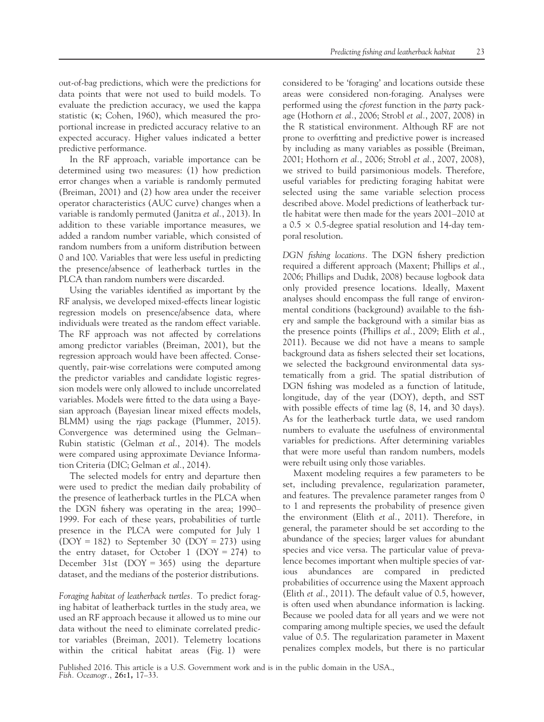out-of-bag predictions, which were the predictions for data points that were not used to build models. To evaluate the prediction accuracy, we used the kappa statistic ( $\kappa$ ; Cohen, 1960), which measured the proportional increase in predicted accuracy relative to an expected accuracy. Higher values indicated a better predictive performance.

In the RF approach, variable importance can be determined using two measures: (1) how prediction error changes when a variable is randomly permuted (Breiman, 2001) and (2) how area under the receiver operator characteristics (AUC curve) changes when a variable is randomly permuted (Janitza et al., 2013). In addition to these variable importance measures, we added a random number variable, which consisted of random numbers from a uniform distribution between 0 and 100. Variables that were less useful in predicting the presence/absence of leatherback turtles in the PLCA than random numbers were discarded.

Using the variables identified as important by the RF analysis, we developed mixed-effects linear logistic regression models on presence/absence data, where individuals were treated as the random effect variable. The RF approach was not affected by correlations among predictor variables (Breiman, 2001), but the regression approach would have been affected. Consequently, pair-wise correlations were computed among the predictor variables and candidate logistic regression models were only allowed to include uncorrelated variables. Models were fitted to the data using a Bayesian approach (Bayesian linear mixed effects models, BLMM) using the rjags package (Plummer, 2015). Convergence was determined using the Gelman– Rubin statistic (Gelman et al., 2014). The models were compared using approximate Deviance Information Criteria (DIC; Gelman et al., 2014).

The selected models for entry and departure then were used to predict the median daily probability of the presence of leatherback turtles in the PLCA when the DGN fishery was operating in the area; 1990– 1999. For each of these years, probabilities of turtle presence in the PLCA were computed for July 1 (DOY = 182) to September 30 (DOY = 273) using the entry dataset, for October 1 (DOY = 274) to December 31st (DOY = 365) using the departure dataset, and the medians of the posterior distributions.

Foraging habitat of leatherback turtles. To predict foraging habitat of leatherback turtles in the study area, we used an RF approach because it allowed us to mine our data without the need to eliminate correlated predictor variables (Breiman, 2001). Telemetry locations within the critical habitat areas (Fig. 1) were considered to be 'foraging' and locations outside these areas were considered non-foraging. Analyses were performed using the cforest function in the party package (Hothorn et al., 2006; Strobl et al., 2007, 2008) in the R statistical environment. Although RF are not prone to overfitting and predictive power is increased by including as many variables as possible (Breiman, 2001; Hothorn et al., 2006; Strobl et al., 2007, 2008), we strived to build parsimonious models. Therefore, useful variables for predicting foraging habitat were selected using the same variable selection process described above. Model predictions of leatherback turtle habitat were then made for the years 2001–2010 at a 0.5  $\times$  0.5-degree spatial resolution and 14-day temporal resolution.

DGN fishing locations. The DGN fishery prediction required a different approach (Maxent; Phillips et al., 2006; Phillips and Dudık, 2008) because logbook data only provided presence locations. Ideally, Maxent analyses should encompass the full range of environmental conditions (background) available to the fishery and sample the background with a similar bias as the presence points (Phillips et al., 2009; Elith et al., 2011). Because we did not have a means to sample background data as fishers selected their set locations, we selected the background environmental data systematically from a grid. The spatial distribution of DGN fishing was modeled as a function of latitude, longitude, day of the year (DOY), depth, and SST with possible effects of time lag (8, 14, and 30 days). As for the leatherback turtle data, we used random numbers to evaluate the usefulness of environmental variables for predictions. After determining variables that were more useful than random numbers, models were rebuilt using only those variables.

Maxent modeling requires a few parameters to be set, including prevalence, regularization parameter, and features. The prevalence parameter ranges from 0 to 1 and represents the probability of presence given the environment (Elith et al., 2011). Therefore, in general, the parameter should be set according to the abundance of the species; larger values for abundant species and vice versa. The particular value of prevalence becomes important when multiple species of various abundances are compared in predicted probabilities of occurrence using the Maxent approach (Elith et al., 2011). The default value of 0.5, however, is often used when abundance information is lacking. Because we pooled data for all years and we were not comparing among multiple species, we used the default value of 0.5. The regularization parameter in Maxent penalizes complex models, but there is no particular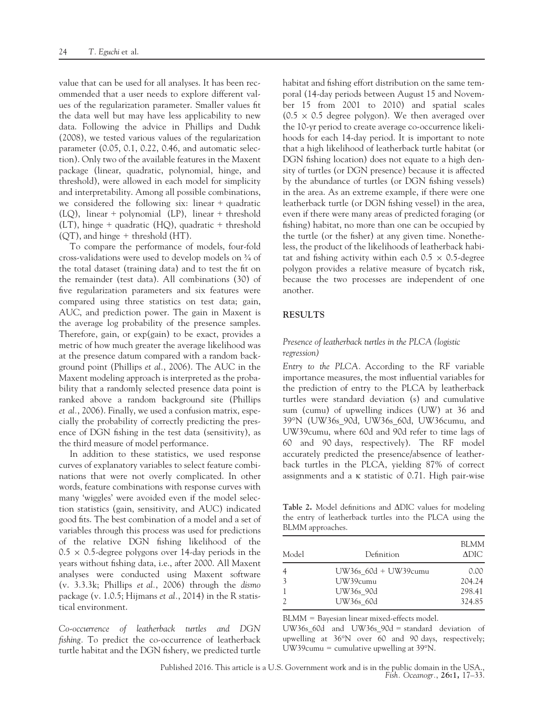value that can be used for all analyses. It has been recommended that a user needs to explore different values of the regularization parameter. Smaller values fit the data well but may have less applicability to new data. Following the advice in Phillips and Dudık (2008), we tested various values of the regularization parameter (0.05, 0.1, 0.22, 0.46, and automatic selection). Only two of the available features in the Maxent package (linear, quadratic, polynomial, hinge, and threshold), were allowed in each model for simplicity and interpretability. Among all possible combinations, we considered the following six: linear + quadratic (LQ), linear + polynomial (LP), linear + threshold  $(LT)$ , hinge + quadratic  $(HQ)$ , quadratic + threshold  $(OT)$ , and hinge + threshold  $(HT)$ .

To compare the performance of models, four-fold cross-validations were used to develop models on ¾ of the total dataset (training data) and to test the fit on the remainder (test data). All combinations (30) of five regularization parameters and six features were compared using three statistics on test data; gain, AUC, and prediction power. The gain in Maxent is the average log probability of the presence samples. Therefore, gain, or exp(gain) to be exact, provides a metric of how much greater the average likelihood was at the presence datum compared with a random background point (Phillips et al., 2006). The AUC in the Maxent modeling approach is interpreted as the probability that a randomly selected presence data point is ranked above a random background site (Phillips et al., 2006). Finally, we used a confusion matrix, especially the probability of correctly predicting the presence of DGN fishing in the test data (sensitivity), as the third measure of model performance.

In addition to these statistics, we used response curves of explanatory variables to select feature combinations that were not overly complicated. In other words, feature combinations with response curves with many 'wiggles' were avoided even if the model selection statistics (gain, sensitivity, and AUC) indicated good fits. The best combination of a model and a set of variables through this process was used for predictions of the relative DGN fishing likelihood of the  $0.5 \times 0.5$ -degree polygons over 14-day periods in the years without fishing data, i.e., after 2000. All Maxent analyses were conducted using Maxent software (v. 3.3.3k; Phillips et al., 2006) through the dismo package (v. 1.0.5; Hijmans et al., 2014) in the R statistical environment.

Co-occurrence of leatherback turtles and DGN fishing. To predict the co-occurrence of leatherback turtle habitat and the DGN fishery, we predicted turtle habitat and fishing effort distribution on the same temporal (14-day periods between August 15 and November 15 from 2001 to 2010) and spatial scales  $(0.5 \times 0.5$  degree polygon). We then averaged over the 10-yr period to create average co-occurrence likelihoods for each 14-day period. It is important to note that a high likelihood of leatherback turtle habitat (or DGN fishing location) does not equate to a high density of turtles (or DGN presence) because it is affected by the abundance of turtles (or DGN fishing vessels) in the area. As an extreme example, if there were one leatherback turtle (or DGN fishing vessel) in the area, even if there were many areas of predicted foraging (or fishing) habitat, no more than one can be occupied by the turtle (or the fisher) at any given time. Nonetheless, the product of the likelihoods of leatherback habitat and fishing activity within each  $0.5 \times 0.5$ -degree polygon provides a relative measure of bycatch risk, because the two processes are independent of one another.

#### RESULTS

# Presence of leatherback turtles in the PLCA (logistic regression)

Entry to the PLCA. According to the RF variable importance measures, the most influential variables for the prediction of entry to the PLCA by leatherback turtles were standard deviation (s) and cumulative sum (cumu) of upwelling indices (UW) at 36 and 39°N (UW36s\_90d, UW36s\_60d, UW36cumu, and UW39cumu, where 60d and 90d refer to time lags of 60 and 90 days, respectively). The RF model accurately predicted the presence/absence of leatherback turtles in the PLCA, yielding 87% of correct assignments and a  $\kappa$  statistic of 0.71. High pair-wise

Table 2. Model definitions and ADIC values for modeling the entry of leatherback turtles into the PLCA using the BLMM approaches.

| Model         | Definition               | <b>BLMM</b><br>ADIC. |
|---------------|--------------------------|----------------------|
|               | $UW36s$ 60d + $UW39cumu$ | 0.00                 |
| $\mathcal{E}$ | UW39cumu                 | 204.24               |
|               | UW36s 90d                | 298.41               |
|               | UW36s 60d                | 324.85               |

BLMM = Bayesian linear mixed-effects model.

UW36s\_60d and UW36s\_90d = standard deviation of upwelling at 36°N over 60 and 90 days, respectively; UW39cumu = cumulative upwelling at 39°N.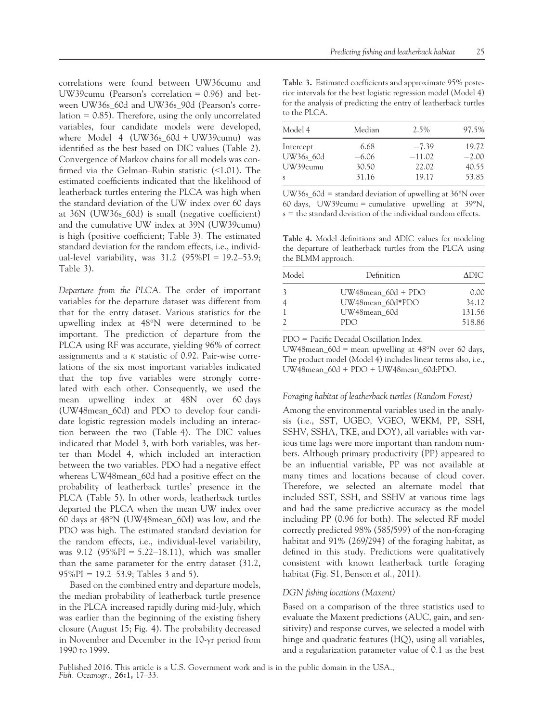correlations were found between UW36cumu and UW39cumu (Pearson's correlation = 0.96) and between UW36s\_60d and UW36s\_90d (Pearson's correlation  $= 0.85$ ). Therefore, using the only uncorrelated variables, four candidate models were developed, where Model 4 (UW36s\_60d + UW39cumu) was identified as the best based on DIC values (Table 2). Convergence of Markov chains for all models was confirmed via the Gelman–Rubin statistic (<1.01). The estimated coefficients indicated that the likelihood of leatherback turtles entering the PLCA was high when the standard deviation of the UW index over 60 days at 36N (UW36s\_60d) is small (negative coefficient) and the cumulative UW index at 39N (UW39cumu) is high (positive coefficient; Table 3). The estimated standard deviation for the random effects, i.e., individual-level variability, was  $31.2$  (95%PI = 19.2–53.9; Table 3).

Departure from the PLCA. The order of important variables for the departure dataset was different from that for the entry dataset. Various statistics for the upwelling index at 48°N were determined to be important. The prediction of departure from the PLCA using RF was accurate, yielding 96% of correct assignments and a  $\kappa$  statistic of 0.92. Pair-wise correlations of the six most important variables indicated that the top five variables were strongly correlated with each other. Consequently, we used the mean upwelling index at 48N over 60 days (UW48mean\_60d) and PDO to develop four candidate logistic regression models including an interaction between the two (Table 4). The DIC values indicated that Model 3, with both variables, was better than Model 4, which included an interaction between the two variables. PDO had a negative effect whereas UW48mean 60d had a positive effect on the probability of leatherback turtles' presence in the PLCA (Table 5). In other words, leatherback turtles departed the PLCA when the mean UW index over 60 days at 48°N (UW48mean\_60d) was low, and the PDO was high. The estimated standard deviation for the random effects, i.e., individual-level variability, was 9.12 (95%PI = 5.22–18.11), which was smaller than the same parameter for the entry dataset (31.2,  $95\%$ PI = 19.2–53.9; Tables 3 and 5).

Based on the combined entry and departure models, the median probability of leatherback turtle presence in the PLCA increased rapidly during mid-July, which was earlier than the beginning of the existing fishery closure (August 15; Fig. 4). The probability decreased in November and December in the 10-yr period from 1990 to 1999.

Table 3. Estimated coefficients and approximate 95% posterior intervals for the best logistic regression model (Model 4) for the analysis of predicting the entry of leatherback turtles to the PLCA.

| Model 4      | Median  | 2.5%     | 97.5%   |
|--------------|---------|----------|---------|
| Intercept    | 6.68    | $-7.39$  | 19.72   |
| UW36s 60d    | $-6.06$ | $-11.02$ | $-2.00$ |
| UW39cumu     | 30.50   | 22.02    | 40.55   |
| <sub>S</sub> | 31.16   | 19.17    | 53.85   |

UW36s\_60d = standard deviation of upwelling at 36°N over 60 days, UW39cumu = cumulative upwelling at  $39^{\circ}$ N, s = the standard deviation of the individual random effects.

Table 4. Model definitions and ADIC values for modeling the departure of leatherback turtles from the PLCA using the BLMM approach.

| Model | Definition              | ADIC-  |
|-------|-------------------------|--------|
|       | $UW48$ mean $60d + PDO$ | 0.00   |
|       | UW48mean 60d*PDO        | 34.12  |
|       | UW48mean 60d            | 131.56 |
|       | PDO                     | 518.86 |

PDO = Pacific Decadal Oscillation Index.

UW48mean  $60d$  = mean upwelling at 48°N over 60 days, The product model (Model 4) includes linear terms also, i.e., UW48mean\_60d + PDO + UW48mean\_60d:PDO.

#### Foraging habitat of leatherback turtles (Random Forest)

Among the environmental variables used in the analysis (i.e., SST, UGEO, VGEO, WEKM, PP, SSH, SSHV, SSHA, TKE, and DOY), all variables with various time lags were more important than random numbers. Although primary productivity (PP) appeared to be an influential variable, PP was not available at many times and locations because of cloud cover. Therefore, we selected an alternate model that included SST, SSH, and SSHV at various time lags and had the same predictive accuracy as the model including PP (0.96 for both). The selected RF model correctly predicted 98% (585/599) of the non-foraging habitat and 91% (269/294) of the foraging habitat, as defined in this study. Predictions were qualitatively consistent with known leatherback turtle foraging habitat (Fig. S1, Benson *et al.*, 2011).

#### DGN fishing locations (Maxent)

Based on a comparison of the three statistics used to evaluate the Maxent predictions (AUC, gain, and sensitivity) and response curves, we selected a model with hinge and quadratic features (HQ), using all variables, and a regularization parameter value of 0.1 as the best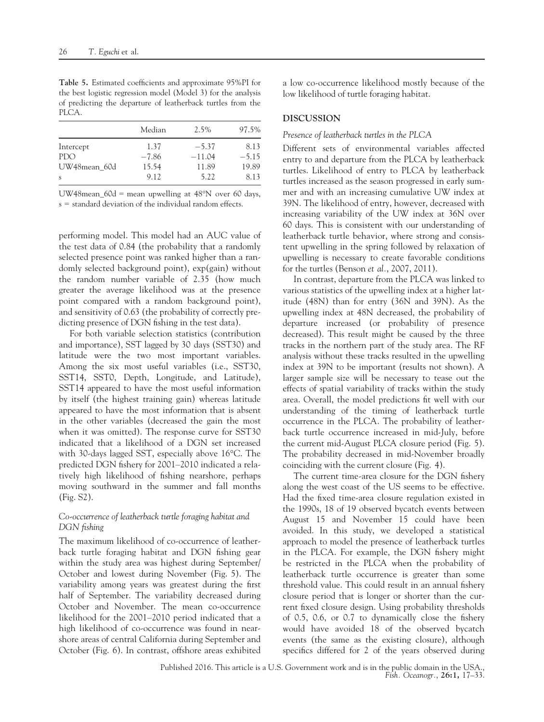Table 5. Estimated coefficients and approximate 95%PI for the best logistic regression model (Model 3) for the analysis of predicting the departure of leatherback turtles from the PLCA.

|              | Median  | $2.5\%$  | 97.5%   |
|--------------|---------|----------|---------|
| Intercept    | 1.37    | $-5.37$  | 8.13    |
| PDO          | $-7.86$ | $-11.04$ | $-5.15$ |
| UW48mean 60d | 15.54   | 11.89    | 19.89   |
| <sub>S</sub> | 9.12    | 5.22     | 8.13    |

UW48mean\_60d = mean upwelling at 48°N over 60 days, s = standard deviation of the individual random effects.

performing model. This model had an AUC value of the test data of 0.84 (the probability that a randomly selected presence point was ranked higher than a randomly selected background point), exp(gain) without the random number variable of 2.35 (how much greater the average likelihood was at the presence point compared with a random background point), and sensitivity of 0.63 (the probability of correctly predicting presence of DGN fishing in the test data).

For both variable selection statistics (contribution and importance), SST lagged by 30 days (SST30) and latitude were the two most important variables. Among the six most useful variables (i.e., SST30, SST14, SST0, Depth, Longitude, and Latitude), SST14 appeared to have the most useful information by itself (the highest training gain) whereas latitude appeared to have the most information that is absent in the other variables (decreased the gain the most when it was omitted). The response curve for SST30 indicated that a likelihood of a DGN set increased with 30-days lagged SST, especially above 16°C. The predicted DGN fishery for 2001–2010 indicated a relatively high likelihood of fishing nearshore, perhaps moving southward in the summer and fall months (Fig. S2).

# Co-occurrence of leatherback turtle foraging habitat and DGN fishing

The maximum likelihood of co-occurrence of leatherback turtle foraging habitat and DGN fishing gear within the study area was highest during September/ October and lowest during November (Fig. 5). The variability among years was greatest during the first half of September. The variability decreased during October and November. The mean co-occurrence likelihood for the 2001–2010 period indicated that a high likelihood of co-occurrence was found in nearshore areas of central California during September and October (Fig. 6). In contrast, offshore areas exhibited a low co-occurrence likelihood mostly because of the low likelihood of turtle foraging habitat.

# DISCUSSION

# Presence of leatherback turtles in the PLCA

Different sets of environmental variables affected entry to and departure from the PLCA by leatherback turtles. Likelihood of entry to PLCA by leatherback turtles increased as the season progressed in early summer and with an increasing cumulative UW index at 39N. The likelihood of entry, however, decreased with increasing variability of the UW index at 36N over 60 days. This is consistent with our understanding of leatherback turtle behavior, where strong and consistent upwelling in the spring followed by relaxation of upwelling is necessary to create favorable conditions for the turtles (Benson et al., 2007, 2011).

In contrast, departure from the PLCA was linked to various statistics of the upwelling index at a higher latitude (48N) than for entry (36N and 39N). As the upwelling index at 48N decreased, the probability of departure increased (or probability of presence decreased). This result might be caused by the three tracks in the northern part of the study area. The RF analysis without these tracks resulted in the upwelling index at 39N to be important (results not shown). A larger sample size will be necessary to tease out the effects of spatial variability of tracks within the study area. Overall, the model predictions fit well with our understanding of the timing of leatherback turtle occurrence in the PLCA. The probability of leatherback turtle occurrence increased in mid-July, before the current mid-August PLCA closure period (Fig. 5). The probability decreased in mid-November broadly coinciding with the current closure (Fig. 4).

The current time-area closure for the DGN fishery along the west coast of the US seems to be effective. Had the fixed time-area closure regulation existed in the 1990s, 18 of 19 observed bycatch events between August 15 and November 15 could have been avoided. In this study, we developed a statistical approach to model the presence of leatherback turtles in the PLCA. For example, the DGN fishery might be restricted in the PLCA when the probability of leatherback turtle occurrence is greater than some threshold value. This could result in an annual fishery closure period that is longer or shorter than the current fixed closure design. Using probability thresholds of 0.5, 0.6, or 0.7 to dynamically close the fishery would have avoided 18 of the observed bycatch events (the same as the existing closure), although specifics differed for 2 of the years observed during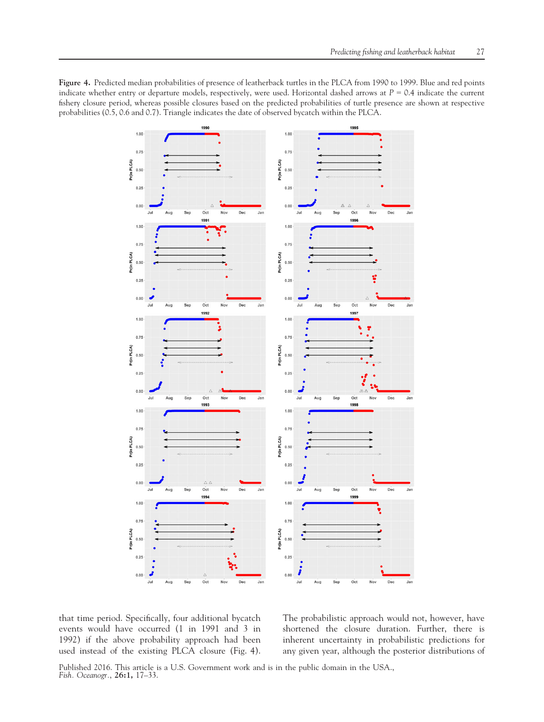Figure 4. Predicted median probabilities of presence of leatherback turtles in the PLCA from 1990 to 1999. Blue and red points indicate whether entry or departure models, respectively, were used. Horizontal dashed arrows at  $P = 0.4$  indicate the current fishery closure period, whereas possible closures based on the predicted probabilities of turtle presence are shown at respective probabilities (0.5, 0.6 and 0.7). Triangle indicates the date of observed bycatch within the PLCA.



that time period. Specifically, four additional bycatch events would have occurred (1 in 1991 and 3 in 1992) if the above probability approach had been used instead of the existing PLCA closure (Fig. 4).

The probabilistic approach would not, however, have shortened the closure duration. Further, there is inherent uncertainty in probabilistic predictions for any given year, although the posterior distributions of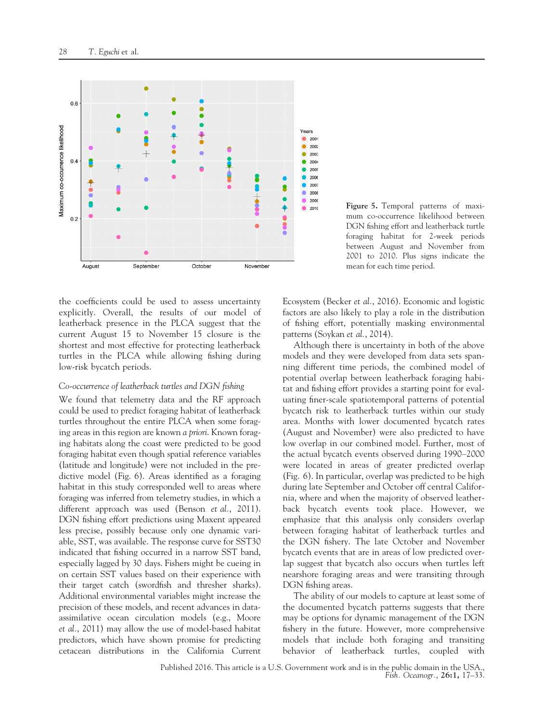

Figure 5. Temporal patterns of maximum co-occurrence likelihood between DGN fishing effort and leatherback turtle foraging habitat for 2-week periods between August and November from 2001 to 2010. Plus signs indicate the mean for each time period.

the coefficients could be used to assess uncertainty explicitly. Overall, the results of our model of leatherback presence in the PLCA suggest that the current August 15 to November 15 closure is the shortest and most effective for protecting leatherback turtles in the PLCA while allowing fishing during low-risk bycatch periods.

#### Co-occurrence of leatherback turtles and DGN fishing

We found that telemetry data and the RF approach could be used to predict foraging habitat of leatherback turtles throughout the entire PLCA when some foraging areas in this region are known a priori. Known foraging habitats along the coast were predicted to be good foraging habitat even though spatial reference variables (latitude and longitude) were not included in the predictive model (Fig. 6). Areas identified as a foraging habitat in this study corresponded well to areas where foraging was inferred from telemetry studies, in which a different approach was used (Benson *et al.*, 2011). DGN fishing effort predictions using Maxent appeared less precise, possibly because only one dynamic variable, SST, was available. The response curve for SST30 indicated that fishing occurred in a narrow SST band, especially lagged by 30 days. Fishers might be cueing in on certain SST values based on their experience with their target catch (swordfish and thresher sharks). Additional environmental variables might increase the precision of these models, and recent advances in dataassimilative ocean circulation models (e.g., Moore et al., 2011) may allow the use of model-based habitat predictors, which have shown promise for predicting cetacean distributions in the California Current

Ecosystem (Becker et al., 2016). Economic and logistic factors are also likely to play a role in the distribution of fishing effort, potentially masking environmental patterns (Soykan et al., 2014).

Although there is uncertainty in both of the above models and they were developed from data sets spanning different time periods, the combined model of potential overlap between leatherback foraging habitat and fishing effort provides a starting point for evaluating finer-scale spatiotemporal patterns of potential bycatch risk to leatherback turtles within our study area. Months with lower documented bycatch rates (August and November) were also predicted to have low overlap in our combined model. Further, most of the actual bycatch events observed during 1990–2000 were located in areas of greater predicted overlap (Fig. 6). In particular, overlap was predicted to be high during late September and October off central California, where and when the majority of observed leatherback bycatch events took place. However, we emphasize that this analysis only considers overlap between foraging habitat of leatherback turtles and the DGN fishery. The late October and November bycatch events that are in areas of low predicted overlap suggest that bycatch also occurs when turtles left nearshore foraging areas and were transiting through DGN fishing areas.

The ability of our models to capture at least some of the documented bycatch patterns suggests that there may be options for dynamic management of the DGN fishery in the future. However, more comprehensive models that include both foraging and transiting behavior of leatherback turtles, coupled with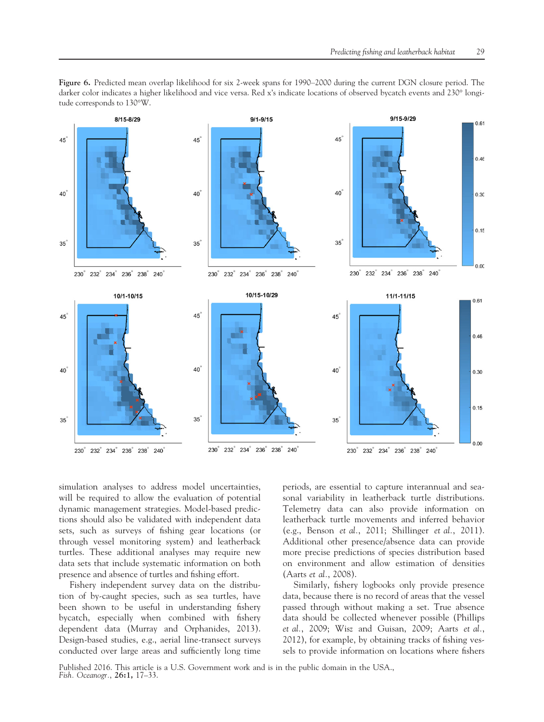

Figure 6. Predicted mean overlap likelihood for six 2-week spans for 1990–2000 during the current DGN closure period. The darker color indicates a higher likelihood and vice versa. Red x's indicate locations of observed bycatch events and 230° longitude corresponds to 130°W.

simulation analyses to address model uncertainties, will be required to allow the evaluation of potential dynamic management strategies. Model-based predictions should also be validated with independent data sets, such as surveys of fishing gear locations (or through vessel monitoring system) and leatherback turtles. These additional analyses may require new data sets that include systematic information on both presence and absence of turtles and fishing effort.

Fishery independent survey data on the distribution of by-caught species, such as sea turtles, have been shown to be useful in understanding fishery bycatch, especially when combined with fishery dependent data (Murray and Orphanides, 2013). Design-based studies, e.g., aerial line-transect surveys conducted over large areas and sufficiently long time periods, are essential to capture interannual and seasonal variability in leatherback turtle distributions. Telemetry data can also provide information on leatherback turtle movements and inferred behavior (e.g., Benson et al., 2011; Shillinger et al., 2011). Additional other presence/absence data can provide more precise predictions of species distribution based on environment and allow estimation of densities (Aarts et al., 2008).

Similarly, fishery logbooks only provide presence data, because there is no record of areas that the vessel passed through without making a set. True absence data should be collected whenever possible (Phillips et al., 2009; Wisz and Guisan, 2009; Aarts et al., 2012), for example, by obtaining tracks of fishing vessels to provide information on locations where fishers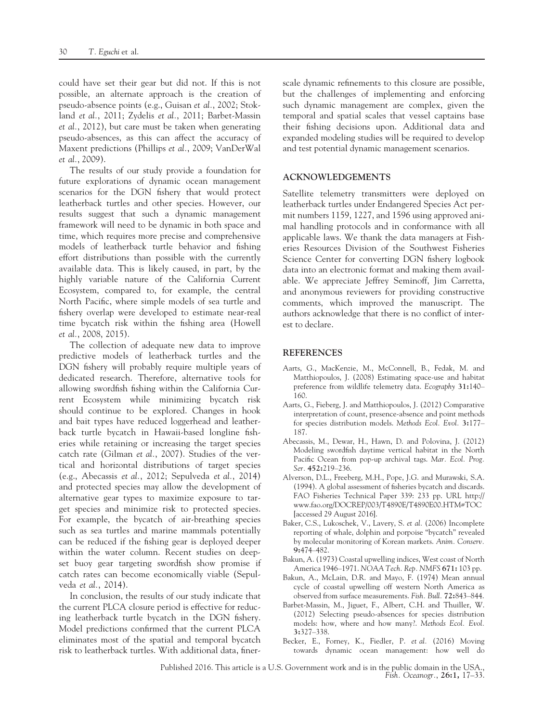could have set their gear but did not. If this is not possible, an alternate approach is the creation of pseudo-absence points (e.g., Guisan et al., 2002; Stokland et al., 2011; Zydelis et al., 2011; Barbet-Massin et al., 2012), but care must be taken when generating pseudo-absences, as this can affect the accuracy of Maxent predictions (Phillips et al., 2009; VanDerWal et al., 2009).

The results of our study provide a foundation for future explorations of dynamic ocean management scenarios for the DGN fishery that would protect leatherback turtles and other species. However, our results suggest that such a dynamic management framework will need to be dynamic in both space and time, which requires more precise and comprehensive models of leatherback turtle behavior and fishing effort distributions than possible with the currently available data. This is likely caused, in part, by the highly variable nature of the California Current Ecosystem, compared to, for example, the central North Pacific, where simple models of sea turtle and fishery overlap were developed to estimate near-real time bycatch risk within the fishing area (Howell et al., 2008, 2015).

The collection of adequate new data to improve predictive models of leatherback turtles and the DGN fishery will probably require multiple years of dedicated research. Therefore, alternative tools for allowing swordfish fishing within the California Current Ecosystem while minimizing bycatch risk should continue to be explored. Changes in hook and bait types have reduced loggerhead and leatherback turtle bycatch in Hawaii-based longline fisheries while retaining or increasing the target species catch rate (Gilman et al., 2007). Studies of the vertical and horizontal distributions of target species (e.g., Abecassis et al., 2012; Sepulveda et al., 2014) and protected species may allow the development of alternative gear types to maximize exposure to target species and minimize risk to protected species. For example, the bycatch of air-breathing species such as sea turtles and marine mammals potentially can be reduced if the fishing gear is deployed deeper within the water column. Recent studies on deepset buoy gear targeting swordfish show promise if catch rates can become economically viable (Sepulveda et al., 2014).

In conclusion, the results of our study indicate that the current PLCA closure period is effective for reducing leatherback turtle bycatch in the DGN fishery. Model predictions confirmed that the current PLCA eliminates most of the spatial and temporal bycatch risk to leatherback turtles. With additional data, finerscale dynamic refinements to this closure are possible, but the challenges of implementing and enforcing such dynamic management are complex, given the temporal and spatial scales that vessel captains base their fishing decisions upon. Additional data and expanded modeling studies will be required to develop and test potential dynamic management scenarios.

# ACKNOWLEDGEMENTS

Satellite telemetry transmitters were deployed on leatherback turtles under Endangered Species Act permit numbers 1159, 1227, and 1596 using approved animal handling protocols and in conformance with all applicable laws. We thank the data managers at Fisheries Resources Division of the Southwest Fisheries Science Center for converting DGN fishery logbook data into an electronic format and making them available. We appreciate Jeffrey Seminoff, Jim Carretta, and anonymous reviewers for providing constructive comments, which improved the manuscript. The authors acknowledge that there is no conflict of interest to declare.

#### REFERENCES

- Aarts, G., MacKenzie, M., McConnell, B., Fedak, M. and Matthiopoulos, J. (2008) Estimating space-use and habitat preference from wildlife telemetry data. Ecography 31:140– 160.
- Aarts, G., Fieberg, J. and Matthiopoulos, J. (2012) Comparative interpretation of count, presence-absence and point methods for species distribution models. Methods Ecol. Evol. 3:177– 187.
- Abecassis, M., Dewar, H., Hawn, D. and Polovina, J. (2012) Modeling swordfish daytime vertical habitat in the North Pacific Ocean from pop-up archival tags. Mar. Ecol. Prog. Ser. 452:219–236.
- Alverson, D.L., Freeberg, M.H., Pope, J.G. and Murawski, S.A. (1994). A global assessment of fisheries bycatch and discards. FAO Fisheries Technical Paper 339: 233 pp. URL [http://](http://www.fao.org/DOCREP/003/T4890E/T4890E00.HTM#TOC) [www.fao.org/DOCREP/003/T4890E/T4890E00.HTM#TOC](http://www.fao.org/DOCREP/003/T4890E/T4890E00.HTM#TOC) [accessed 29 August 2016].
- Baker, C.S., Lukoschek, V., Lavery, S. et al. (2006) Incomplete reporting of whale, dolphin and porpoise "bycatch" revealed by molecular monitoring of Korean markets. Anim. Conserv. 9:474–482.
- Bakun, A. (1973) Coastal upwelling indices, West coast of North America 1946–1971. NOAA Tech. Rep. NMFS 671: 103 pp.
- Bakun, A., McLain, D.R. and Mayo, F. (1974) Mean annual cycle of coastal upwelling off western North America as observed from surface measurements. Fish. Bull. 72:843–844.
- Barbet-Massin, M., Jiguet, F., Albert, C.H. and Thuiller, W. (2012) Selecting pseudo-absences for species distribution models: how, where and how many?. Methods Ecol. Evol. 3:327–338.
- Becker, E., Forney, K., Fiedler, P. et al. (2016) Moving towards dynamic ocean management: how well do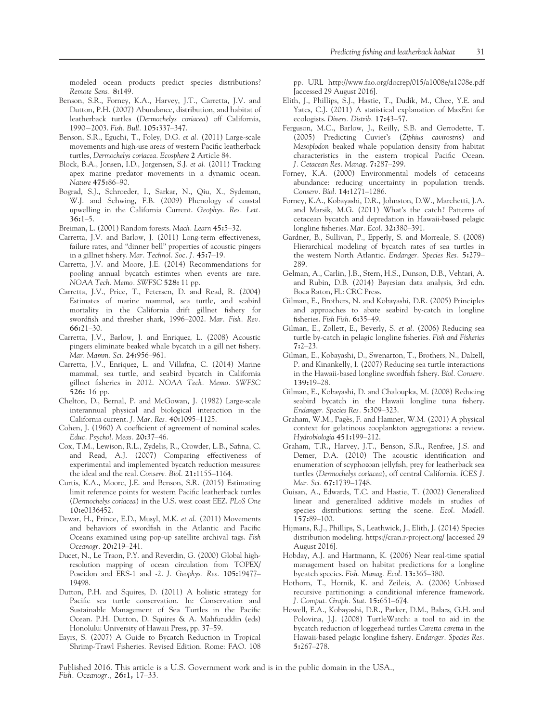modeled ocean products predict species distributions? Remote Sens. 8:149.

- Benson, S.R., Forney, K.A., Harvey, J.T., Carretta, J.V. and Dutton, P.H. (2007) Abundance, distribution, and habitat of leatherback turtles (Dermochelys coriacea) off California, 1990-2003. Fish. Bull. 105:337–347.
- Benson, S.R., Eguchi, T., Foley, D.G. et al. (2011) Large-scale movements and high-use areas of western Pacific leatherback turtles, Dermochelys coriacea. Ecosphere 2 Article 84.
- Block, B.A., Jonsen, I.D., Jorgensen, S.J. et al. (2011) Tracking apex marine predator movements in a dynamic ocean. Nature 475:86–90.
- Bograd, S.J., Schroeder, I., Sarkar, N., Qiu, X., Sydeman, W.J. and Schwing, F.B. (2009) Phenology of coastal upwelling in the California Current. Geophys. Res. Lett. 36:1–5.
- Breiman, L. (2001) Random forests. Mach. Learn 45:5–32.
- Carretta, J.V. and Barlow, J. (2011) Long-term effectiveness, failure rates, and "dinner bell" properties of acoustic pingers in a gillnet fishery. Mar. Technol. Soc. J. 45:7–19.
- Carretta, J.V. and Moore, J.E. (2014) Recommendations for pooling annual bycatch estimtes when events are rare. NOAA Tech. Memo. SWFSC 528: 11 pp.
- Carretta, J.V., Price, T., Petersen, D. and Read, R. (2004) Estimates of marine mammal, sea turtle, and seabird mortality in the California drift gillnet fishery for swordfish and thresher shark, 1996–2002. Mar. Fish. Rev.  $66:21-30.$
- Carretta, J.V., Barlow, J. and Enriquez, L. (2008) Acoustic pingers eliminate beaked whale bycatch in a gill net fishery. Mar. Mamm. Sci. 24:956–961.
- Carretta, J.V., Enriquez, L. and Villafna, C. (2014) Marine mammal, sea turtle, and seabird bycatch in California gillnet fisheries in 2012. NOAA Tech. Memo. SWFSC 526: 16 pp.
- Chelton, D., Bernal, P. and McGowan, J. (1982) Large-scale interannual physical and biological interaction in the California current. J. Mar. Res. 40:1095–1125.
- Cohen, J. (1960) A coefficient of agreement of nominal scales. Educ. Psychol. Meas. 20:37–46.
- Cox, T.M., Lewison, R.L., Zydelis, R., Crowder, L.B., Safina, C. and Read, A.J. (2007) Comparing effectiveness of experimental and implemented bycatch reduction measures: the ideal and the real. Conserv. Biol. 21:1155–1164.
- Curtis, K.A., Moore, J.E. and Benson, S.R. (2015) Estimating limit reference points for western Pacific leatherback turtles (Dermochelys coriacea) in the U.S. west coast EEZ. PLoS One 10:e0136452.
- Dewar, H., Prince, E.D., Musyl, M.K. et al. (2011) Movements and behaviors of swordfish in the Atlantic and Pacific Oceans examined using pop-up satellite archival tags. Fish Oceanogr. 20:219–241.
- Ducet, N., Le Traon, P.Y. and Reverdin, G. (2000) Global highresolution mapping of ocean circulation from TOPEX/ Poseidon and ERS-1 and -2. J. Geophys. Res. 105:19477– 19498.
- Dutton, P.H. and Squires, D. (2011) A holistic strategy for Pacific sea turtle conservation. In: Conservation and Sustainable Management of Sea Turtles in the Pacific Ocean. P.H. Dutton, D. Squires & A. Mahfuzuddin (eds) Honolulu: University of Hawaii Press, pp. 37–59.
- Eayrs, S. (2007) A Guide to Bycatch Reduction in Tropical Shrimp-Trawl Fisheries. Revised Edition. Rome: FAO. 108

pp. URL<http://www.fao.org/docrep/015/a1008e/a1008e.pdf> [accessed 29 August 2016].

- Elith, J., Phillips, S.J., Hastie, T., Dudık, M., Chee, Y.E. and Yates, C.J. (2011) A statistical explanation of MaxEnt for ecologists. Divers. Distrib. 17:43–57.
- Ferguson, M.C., Barlow, J., Reilly, S.B. and Gerrodette, T. (2005) Predicting Cuvier's (Ziphius cavirostris) and Mesoplodon beaked whale population density from habitat characteristics in the eastern tropical Pacific Ocean. J. Cetacean Res. Manag. 7:287–299.
- Forney, K.A. (2000) Environmental models of cetaceans abundance: reducing uncertainty in population trends. Conserv. Biol. 14:1271–1286.
- Forney, K.A., Kobayashi, D.R., Johnston, D.W., Marchetti, J.A. and Marsik, M.G. (2011) What's the catch? Patterns of cetacean bycatch and depredation in Hawaii-based pelagic longline fisheries. Mar. Ecol. 32:380–391.
- Gardner, B., Sullivan, P., Epperly, S. and Morreale, S. (2008) Hierarchical modeling of bycatch rates of sea turtles in the western North Atlantic. Endanger. Species Res. 5:279– 289.
- Gelman, A., Carlin, J.B., Stern, H.S., Dunson, D.B., Vehtari, A. and Rubin, D.B. (2014) Bayesian data analysis, 3rd edn. Boca Raton, FL: CRC Press.
- Gilman, E., Brothers, N. and Kobayashi, D.R. (2005) Principles and approaches to abate seabird by-catch in longline fisheries. Fish Fish. 6:35–49.
- Gilman, E., Zollett, E., Beverly, S. et al. (2006) Reducing sea turtle by-catch in pelagic longline fisheries. Fish and Fisheries  $7:2-23$ .
- Gilman, E., Kobayashi, D., Swenarton, T., Brothers, N., Dalzell, P. and Kinankelly, I. (2007) Reducing sea turtle interactions in the Hawaii-based longline swordfish fishery. Biol. Conserv. 139:19–28.
- Gilman, E., Kobayashi, D. and Chaloupka, M. (2008) Reducing seabird bycatch in the Hawaii longline tuna fishery. Endanger. Species Res. 5:309–323.
- Graham, W.M., Pages, F. and Hamner, W.M. (2001) A physical context for gelatinous zooplankton aggregations: a review. Hydrobiologia 451:199–212.
- Graham, T.R., Harvey, J.T., Benson, S.R., Renfree, J.S. and Demer, D.A. (2010) The acoustic identification and enumeration of scyphozoan jellyfish, prey for leatherback sea turtles (Dermochelys coriacea), off central California. ICES J. Mar. Sci. 67:1739–1748.
- Guisan, A., Edwards, T.C. and Hastie, T. (2002) Generalized linear and generalized additive models in studies of species distributions: setting the scene. Ecol. Modell. 157:89–100.
- Hijmans, R.J., Phillips, S., Leathwick, J., Elith, J. (2014) Species distribution modeling.<https://cran.r-project.org/> [accessed 29 August 2016].
- Hobday, A.J. and Hartmann, K. (2006) Near real-time spatial management based on habitat predictions for a longline bycatch species. Fish. Manag. Ecol. 13:365–380.
- Hothorn, T., Hornik, K. and Zeileis, A. (2006) Unbiased recursive partitioning: a conditional inference framework. J. Comput. Graph. Stat. 15:651–674.
- Howell, E.A., Kobayashi, D.R., Parker, D.M., Balazs, G.H. and Polovina, J.J. (2008) TurtleWatch: a tool to aid in the bycatch reduction of loggerhead turtles Caretta caretta in the Hawaii-based pelagic longline fishery. Endanger. Species Res. 5:267–278.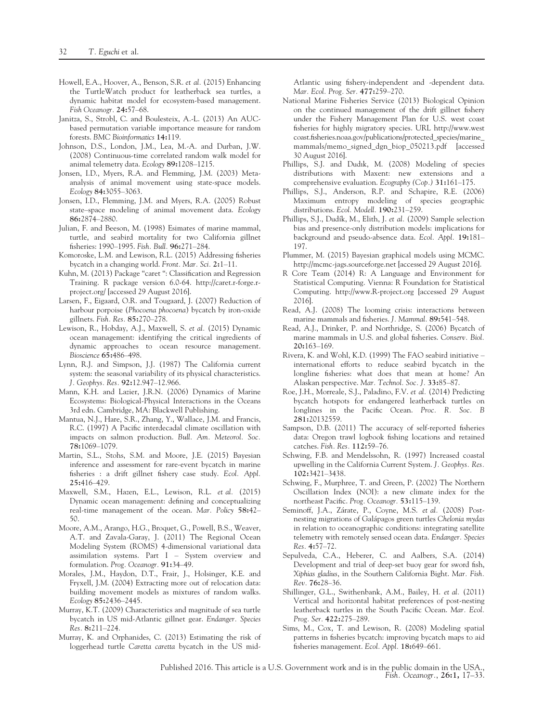- Howell, E.A., Hoover, A., Benson, S.R. et al. (2015) Enhancing the TurtleWatch product for leatherback sea turtles, a dynamic habitat model for ecosystem-based management. Fish Oceanogr. 24:57–68.
- Janitza, S., Strobl, C. and Boulesteix, A.-L. (2013) An AUCbased permutation variable importance measure for random forests. BMC Bioinformatics 14:119.
- Johnson, D.S., London, J.M., Lea, M.-A. and Durban, J.W. (2008) Continuous-time correlated random walk model for animal telemetry data. Ecology 89:1208–1215.
- Jonsen, I.D., Myers, R.A. and Flemming, J.M. (2003) Metaanalysis of animal movement using state-space models. Ecology 84:3055–3063.
- Jonsen, I.D., Flemming, J.M. and Myers, R.A. (2005) Robust state–space modeling of animal movement data. Ecology 86:2874–2880.
- Julian, F. and Beeson, M. (1998) Esimates of marine mammal, turtle, and seabird mortality for two California gillnet fisheries: 1990–1995. Fish. Bull. 96:271–284.
- Komoroske, L.M. and Lewison, R.L. (2015) Addressing fisheries bycatch in a changing world. Front. Mar. Sci. 2:1–11.
- Kuhn, M. (2013) Package "caret ": Classification and Regression Training. R package version 6.0-64. [http://caret.r-forge.r](http://caret.r-forge.r-project.org/)[project.org/](http://caret.r-forge.r-project.org/) [accessed 29 August 2016].
- Larsen, F., Eigaard, O.R. and Tougaard, J. (2007) Reduction of harbour porpoise (Phocoena phocoena) bycatch by iron-oxide gillnets. Fish. Res. 85:270–278.
- Lewison, R., Hobday, A.J., Maxwell, S. et al. (2015) Dynamic ocean management: identifying the critical ingredients of dynamic approaches to ocean resource management. Bioscience 65:486–498.
- Lynn, R.J. and Simpson, J.J. (1987) The California current system: the seasonal variability of its physical characteristics. J. Geophys. Res. 92:12.947–12.966.
- Mann, K.H. and Lazier, J.R.N. (2006) Dynamics of Marine Ecosystems: Biological-Physical Interactions in the Oceans 3rd edn. Cambridge, MA: Blackwell Publishing.
- Mantua, N.J., Hare, S.R., Zhang, Y., Wallace, J.M. and Francis, R.C. (1997) A Pacific interdecadal climate oscillation with impacts on salmon production. Bull. Am. Meteorol. Soc. 78:1069–1079.
- Martin, S.L., Stohs, S.M. and Moore, J.E. (2015) Bayesian inference and assessment for rare-event bycatch in marine fisheries : a drift gillnet fishery case study. Ecol. Appl. 25:416–429.
- Maxwell, S.M., Hazen, E.L., Lewison, R.L. et al. (2015) Dynamic ocean management: defining and conceptualizing real-time management of the ocean. Mar. Policy 58:42– 50.
- Moore, A.M., Arango, H.G., Broquet, G., Powell, B.S., Weaver, A.T. and Zavala-Garay, J. (2011) The Regional Ocean Modeling System (ROMS) 4-dimensional variational data assimilation systems. Part I – System overview and formulation. Prog. Oceanogr. 91:34–49.
- Morales, J.M., Haydon, D.T., Frair, J., Holsinger, K.E. and Fryxell, J.M. (2004) Extracting more out of relocation data: building movement models as mixtures of random walks. Ecology 85:2436–2445.
- Murray, K.T. (2009) Characteristics and magnitude of sea turtle bycatch in US mid-Atlantic gillnet gear. Endanger. Species Res. 8:211–224.
- Murray, K. and Orphanides, C. (2013) Estimating the risk of loggerhead turtle Caretta caretta bycatch in the US mid-

Atlantic using fishery-independent and -dependent data. Mar. Ecol. Prog. Ser. 477:259–270.

- National Marine Fisheries Service (2013) Biological Opinion on the continued management of the drift gillnet fishery under the Fishery Management Plan for U.S. west coast fisheries for highly migratory species. URL [http://www.west](http://www.westcoast.fisheries.noaa.gov/publications/protected_species/marine_mammals/memo_signed_dgn_biop_050213.pdf) [coast.fisheries.noaa.gov/publications/protected\\_species/marine\\_](http://www.westcoast.fisheries.noaa.gov/publications/protected_species/marine_mammals/memo_signed_dgn_biop_050213.pdf) [mammals/memo\\_signed\\_dgn\\_biop\\_050213.pdf](http://www.westcoast.fisheries.noaa.gov/publications/protected_species/marine_mammals/memo_signed_dgn_biop_050213.pdf) [accessed 30 August 2016].
- Phillips, S.J. and Dudık, M. (2008) Modeling of species distributions with Maxent: new extensions and a comprehensive evaluation. Ecography (Cop.) 31:161–175.
- Phillips, S.J., Anderson, R.P. and Schapire, R.E. (2006) Maximum entropy modeling of species geographic distributions. Ecol. Modell. 190:231–259.
- Phillips, S.J., Dudık, M., Elith, J. et al. (2009) Sample selection bias and presence-only distribution models: implications for background and pseudo-absence data. Ecol. Appl. 19:181– 197.
- Plummer, M. (2015) Bayesian graphical models using MCMC. <http://mcmc-jags.sourceforge.net> [accessed 29 August 2016].
- R Core Team (2014) R: A Language and Environment for Statistical Computing. Vienna: R Foundation for Statistical Computing.<http://www.R-project.org> [accessed 29 August 2016].
- Read, A.J. (2008) The looming crisis: interactions between marine mammals and fisheries. J. Mammal. 89:541–548.
- Read, A.J., Drinker, P. and Northridge, S. (2006) Bycatch of marine mammals in U.S. and global fisheries. Conserv. Biol. 20:163–169.
- Rivera, K. and Wohl, K.D. (1999) The FAO seabird initiative international efforts to reduce seabird bycatch in the longline fisheries: what does that mean at home? An Alaskan perspective. Mar. Technol. Soc. J. 33:85–87.
- Roe, J.H., Morreale, S.J., Paladino, F.V. et al. (2014) Predicting bycatch hotspots for endangered leatherback turtles on longlines in the Pacific Ocean. Proc. R. Soc. B 281:20132559.
- Sampson, D.B. (2011) The accuracy of self-reported fisheries data: Oregon trawl logbook fishing locations and retained catches. Fish. Res. 112:59–76.
- Schwing, F.B. and Mendelssohn, R. (1997) Increased coastal upwelling in the California Current System. J. Geophys. Res. 102:3421–3438.
- Schwing, F., Murphree, T. and Green, P. (2002) The Northern Oscillation Index (NOI): a new climate index for the northeast Pacific. Prog. Oceanogr. 53:115–139.
- Seminoff, J.A., Zárate, P., Coyne, M.S. et al. (2008) Postnesting migrations of Galápagos green turtles Chelonia mydas in relation to oceanographic conditions: integrating satellite telemetry with remotely sensed ocean data. Endanger. Species Res. 4:57–72.
- Sepulveda, C.A., Heberer, C. and Aalbers, S.A. (2014) Development and trial of deep-set buoy gear for sword fish, Xiphias gladius, in the Southern California Bight. Mar. Fish. Rev. 76:28–36.
- Shillinger, G.L., Swithenbank, A.M., Bailey, H. et al. (2011) Vertical and horizontal habitat preferences of post-nesting leatherback turtles in the South Pacific Ocean. Mar. Ecol. Prog. Ser. 422:275–289.
- Sims, M., Cox, T. and Lewison, R. (2008) Modeling spatial patterns in fisheries bycatch: improving bycatch maps to aid fisheries management. Ecol. Appl. 18:649–661.